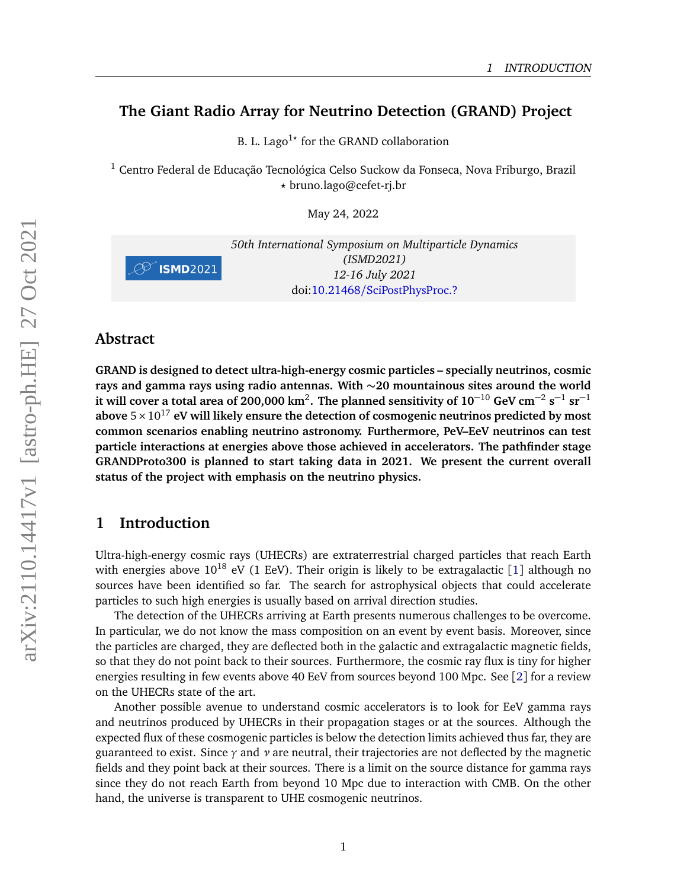# **The Giant Radio Array for Neutrino Detection (GRAND) Project**

B. L. Lago<sup>1</sup>\* for the GRAND collaboration

<sup>1</sup> Centro Federal de Educação Tecnológica Celso Suckow da Fonseca, Nova Friburgo, Brazil *?* bruno.lago@cefet-rj.br

May 24, 2022



*50th International Symposium on Multiparticle Dynamics (ISMD2021) 12-16 July 2021* doi:10.21468/[SciPostPhysProc.?](https://doi.org/10.21468/SciPostPhysProc.?)

### **Abstract**

**GRAND is designed to detect ultra-high-energy cosmic particles – specially neutrinos, cosmic rays and gamma rays using radio antennas. With** ∼**20 mountainous sites around the world it will cover a total area of 200,000 km<sup>2</sup>. The planned sensitivity of**  $10^{-10}$  **GeV cm<sup>-2</sup> s<sup>-1</sup> sr<sup>-1</sup>** above  $5 \times 10^{17}$  eV will likely ensure the detection of cosmogenic neutrinos predicted by most **common scenarios enabling neutrino astronomy. Furthermore, PeV–EeV neutrinos can test particle interactions at energies above those achieved in accelerators. The pathfinder stage GRANDProto300 is planned to start taking data in 2021. We present the current overall status of the project with emphasis on the neutrino physics.**

## **1 Introduction**

Ultra-high-energy cosmic rays (UHECRs) are extraterrestrial charged particles that reach Earth with energies above  $10^{18}$  $10^{18}$  eV (1 EeV). Their origin is likely to be extragalactic [1] although no sources have been identified so far. The search for astrophysical objects that could accelerate particles to such high energies is usually based on arrival direction studies.

The detection of the UHECRs arriving at Earth presents numerous challenges to be overcome. In particular, we do not know the mass composition on an event by event basis. Moreover, since the particles are charged, they are deflected both in the galactic and extragalactic magnetic fields, so that they do not point back to their sources. Furthermore, the cosmic ray flux is tiny for higher energies resulting in few events above 40 EeV from sources beyond 100 Mpc. See [[2](#page-5-1)] for a review on the UHECRs state of the art.

Another possible avenue to understand cosmic accelerators is to look for EeV gamma rays and neutrinos produced by UHECRs in their propagation stages or at the sources. Although the expected flux of these cosmogenic particles is below the detection limits achieved thus far, they are guaranteed to exist. Since *γ* and *ν* are neutral, their trajectories are not deflected by the magnetic fields and they point back at their sources. There is a limit on the source distance for gamma rays since they do not reach Earth from beyond 10 Mpc due to interaction with CMB. On the other hand, the universe is transparent to UHE cosmogenic neutrinos.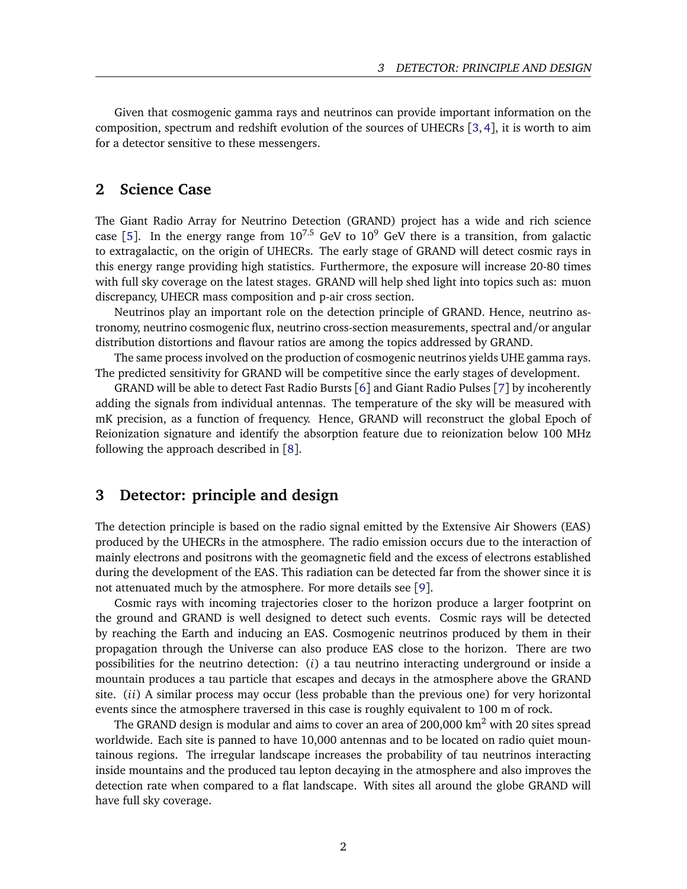Given that cosmogenic gamma rays and neutrinos can provide important information on the composition, spectrum and redshift evolution of the sources of UHECRs [[3,](#page-5-2) [4](#page-5-3)], it is worth to aim for a detector sensitive to these messengers.

### **2 Science Case**

The Giant Radio Array for Neutrino Detection (GRAND) project has a wide and rich science case [[5](#page-5-4)]. In the energy range from  $10^{7.5}$  GeV to  $10^9$  GeV there is a transition, from galactic to extragalactic, on the origin of UHECRs. The early stage of GRAND will detect cosmic rays in this energy range providing high statistics. Furthermore, the exposure will increase 20-80 times with full sky coverage on the latest stages. GRAND will help shed light into topics such as: muon discrepancy, UHECR mass composition and p-air cross section.

Neutrinos play an important role on the detection principle of GRAND. Hence, neutrino astronomy, neutrino cosmogenic flux, neutrino cross-section measurements, spectral and/or angular distribution distortions and flavour ratios are among the topics addressed by GRAND.

The same process involved on the production of cosmogenic neutrinos yields UHE gamma rays. The predicted sensitivity for GRAND will be competitive since the early stages of development.

GRAND will be able to detect Fast Radio Bursts [[6](#page-5-5)] and Giant Radio Pulses [[7](#page-5-6)] by incoherently adding the signals from individual antennas. The temperature of the sky will be measured with mK precision, as a function of frequency. Hence, GRAND will reconstruct the global Epoch of Reionization signature and identify the absorption feature due to reionization below 100 MHz following the approach described in [[8](#page-5-7)].

### **3 Detector: principle and design**

The detection principle is based on the radio signal emitted by the Extensive Air Showers (EAS) produced by the UHECRs in the atmosphere. The radio emission occurs due to the interaction of mainly electrons and positrons with the geomagnetic field and the excess of electrons established during the development of the EAS. This radiation can be detected far from the shower since it is not attenuated much by the atmosphere. For more details see [[9](#page-5-8)].

Cosmic rays with incoming trajectories closer to the horizon produce a larger footprint on the ground and GRAND is well designed to detect such events. Cosmic rays will be detected by reaching the Earth and inducing an EAS. Cosmogenic neutrinos produced by them in their propagation through the Universe can also produce EAS close to the horizon. There are two possibilities for the neutrino detection: (*i*) a tau neutrino interacting underground or inside a mountain produces a tau particle that escapes and decays in the atmosphere above the GRAND site. (*ii*) A similar process may occur (less probable than the previous one) for very horizontal events since the atmosphere traversed in this case is roughly equivalent to 100 m of rock.

The GRAND design is modular and aims to cover an area of  $200,000 \text{ km}^2$  with 20 sites spread worldwide. Each site is panned to have 10,000 antennas and to be located on radio quiet mountainous regions. The irregular landscape increases the probability of tau neutrinos interacting inside mountains and the produced tau lepton decaying in the atmosphere and also improves the detection rate when compared to a flat landscape. With sites all around the globe GRAND will have full sky coverage.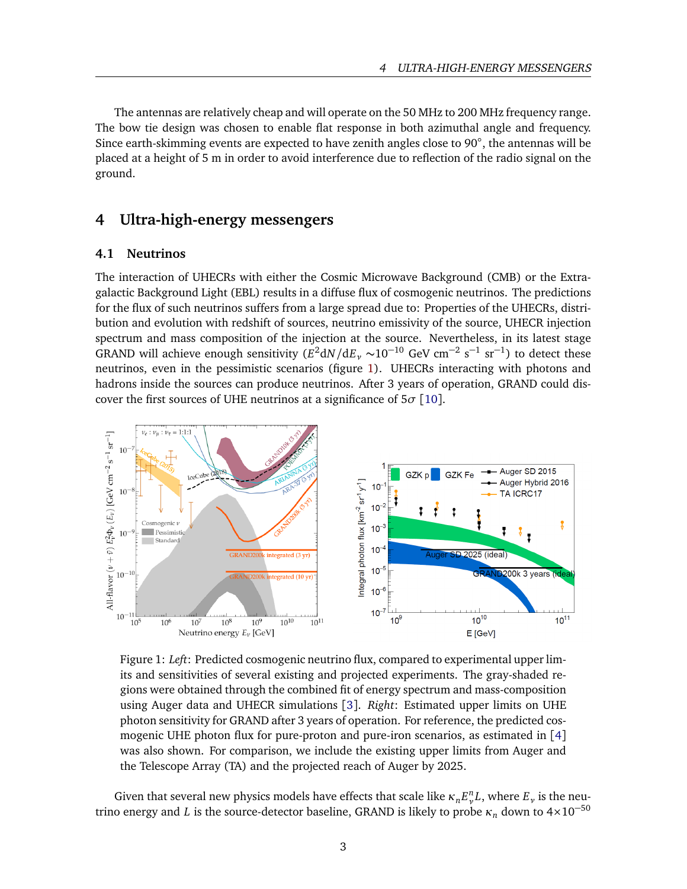The antennas are relatively cheap and will operate on the 50 MHz to 200 MHz frequency range. The bow tie design was chosen to enable flat response in both azimuthal angle and frequency. Since earth-skimming events are expected to have zenith angles close to 90°, the antennas will be placed at a height of 5 m in order to avoid interference due to reflection of the radio signal on the ground.

### **4 Ultra-high-energy messengers**

### **4.1 Neutrinos**

The interaction of UHECRs with either the Cosmic Microwave Background (CMB) or the Extragalactic Background Light (EBL) results in a diffuse flux of cosmogenic neutrinos. The predictions for the flux of such neutrinos suffers from a large spread due to: Properties of the UHECRs, distribution and evolution with redshift of sources, neutrino emissivity of the source, UHECR injection spectrum and mass composition of the injection at the source. Nevertheless, in its latest stage GRAND will achieve enough sensitivity  $(E^2 dN/dE_y \sim 10^{-10}$  GeV cm<sup>-2</sup> s<sup>-1</sup> sr<sup>-1</sup>) to detect these neutrinos, even in the pessimistic scenarios (figure [1\)](#page-2-0). UHECRs interacting with photons and hadrons inside the sources can produce neutrinos. After 3 years of operation, GRAND could discover the first sources of UHE neutrinos at a significance of 5*σ* [[10](#page-5-9)].

<span id="page-2-0"></span>

Figure 1: *Left*: Predicted cosmogenic neutrino flux, compared to experimental upper limits and sensitivities of several existing and projected experiments. The gray-shaded regions were obtained through the combined fit of energy spectrum and mass-composition using Auger data and UHECR simulations [[3](#page-5-2)]. *Right*: Estimated upper limits on UHE photon sensitivity for GRAND after 3 years of operation. For reference, the predicted cosmogenic UHE photon flux for pure-proton and pure-iron scenarios, as estimated in [[4](#page-5-3)] was also shown. For comparison, we include the existing upper limits from Auger and the Telescope Array (TA) and the projected reach of Auger by 2025.

Given that several new physics models have effects that scale like  $\kappa_n E_{\nu}^n L$ , where  $E_{\nu}$  is the neutrino energy and *L* is the source-detector baseline, GRAND is likely to probe  $\kappa_n$  down to  $4 \times 10^{-50}$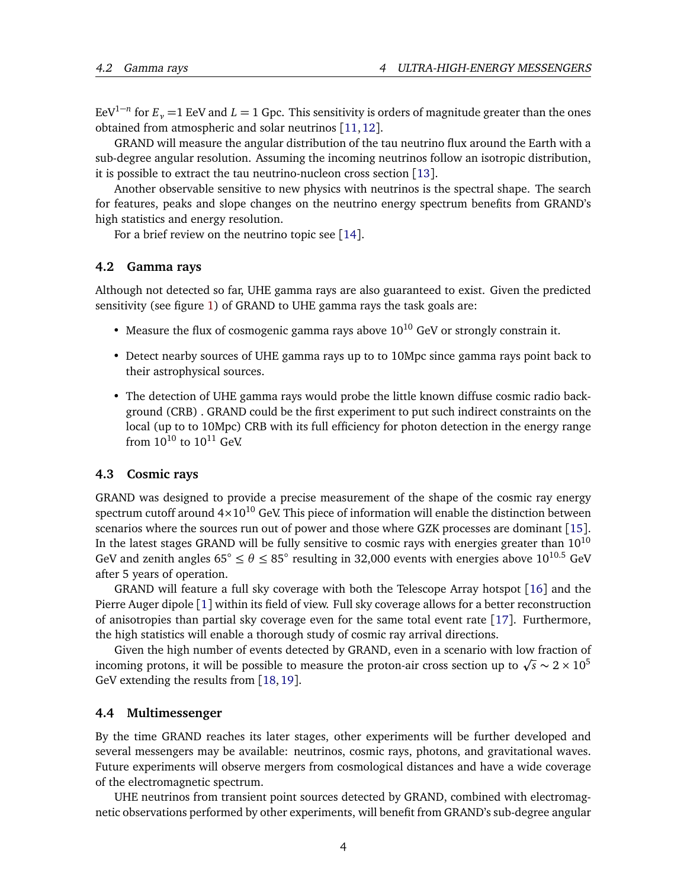EeV<sup>1−*n*</sup> for  $E_{\nu}$  =1 EeV and *L* = 1 Gpc. This sensitivity is orders of magnitude greater than the ones obtained from atmospheric and solar neutrinos [[11,](#page-5-10)[12](#page-5-11)].

GRAND will measure the angular distribution of the tau neutrino flux around the Earth with a sub-degree angular resolution. Assuming the incoming neutrinos follow an isotropic distribution, it is possible to extract the tau neutrino-nucleon cross section [[13](#page-5-12)].

Another observable sensitive to new physics with neutrinos is the spectral shape. The search for features, peaks and slope changes on the neutrino energy spectrum benefits from GRAND's high statistics and energy resolution.

For a brief review on the neutrino topic see [[14](#page-5-13)].

#### **4.2 Gamma rays**

Although not detected so far, UHE gamma rays are also guaranteed to exist. Given the predicted sensitivity (see figure [1\)](#page-2-0) of GRAND to UHE gamma rays the task goals are:

- Measure the flux of cosmogenic gamma rays above  $10^{10}$  GeV or strongly constrain it.
- Detect nearby sources of UHE gamma rays up to to 10Mpc since gamma rays point back to their astrophysical sources.
- The detection of UHE gamma rays would probe the little known diffuse cosmic radio background (CRB) . GRAND could be the first experiment to put such indirect constraints on the local (up to to 10Mpc) CRB with its full efficiency for photon detection in the energy range from  $10^{10}$  to  $10^{11}$  GeV.

### **4.3 Cosmic rays**

GRAND was designed to provide a precise measurement of the shape of the cosmic ray energy spectrum cutoff around  $4\times10^{10}$  GeV. This piece of information will enable the distinction between scenarios where the sources run out of power and those where GZK processes are dominant [[15](#page-6-0)]. In the latest stages GRAND will be fully sensitive to cosmic rays with energies greater than  $10^{10}$ GeV and zenith angles  $65^{\circ} \le \theta \le 85^{\circ}$  resulting in 32,000 events with energies above  $10^{10.5}$  GeV after 5 years of operation.

GRAND will feature a full sky coverage with both the Telescope Array hotspot [[16](#page-6-1)] and the Pierre Auger dipole [[1](#page-5-0)] within its field of view. Full sky coverage allows for a better reconstruction of anisotropies than partial sky coverage even for the same total event rate [[17](#page-6-2)]. Furthermore, the high statistics will enable a thorough study of cosmic ray arrival directions.

Given the high number of events detected by GRAND, even in a scenario with low fraction of Given the high number of events detected by GRAND, even in a scenario with low fraction of the proton-air cross section up to  $\sqrt{s} \sim 2 \times 10^5$ GeV extending the results from [[18,](#page-6-3)[19](#page-6-4)].

#### **4.4 Multimessenger**

By the time GRAND reaches its later stages, other experiments will be further developed and several messengers may be available: neutrinos, cosmic rays, photons, and gravitational waves. Future experiments will observe mergers from cosmological distances and have a wide coverage of the electromagnetic spectrum.

UHE neutrinos from transient point sources detected by GRAND, combined with electromagnetic observations performed by other experiments, will benefit from GRAND's sub-degree angular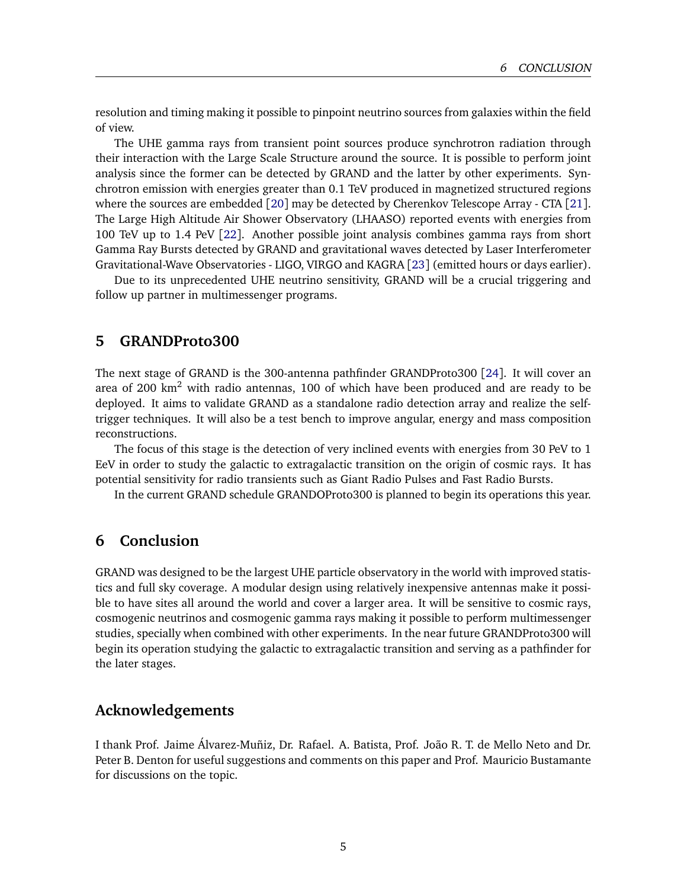resolution and timing making it possible to pinpoint neutrino sources from galaxies within the field of view.

The UHE gamma rays from transient point sources produce synchrotron radiation through their interaction with the Large Scale Structure around the source. It is possible to perform joint analysis since the former can be detected by GRAND and the latter by other experiments. Synchrotron emission with energies greater than 0.1 TeV produced in magnetized structured regions where the sources are embedded [[20](#page-6-5)] may be detected by Cherenkov Telescope Array - CTA [[21](#page-6-6)]. The Large High Altitude Air Shower Observatory (LHAASO) reported events with energies from 100 TeV up to 1.4 PeV [[22](#page-6-7)]. Another possible joint analysis combines gamma rays from short Gamma Ray Bursts detected by GRAND and gravitational waves detected by Laser Interferometer Gravitational-Wave Observatories - LIGO, VIRGO and KAGRA [[23](#page-6-8)] (emitted hours or days earlier).

Due to its unprecedented UHE neutrino sensitivity, GRAND will be a crucial triggering and follow up partner in multimessenger programs.

### **5 GRANDProto300**

The next stage of GRAND is the 300-antenna pathfinder GRANDProto300 [[24](#page-6-9)]. It will cover an area of 200 km<sup>2</sup> with radio antennas, 100 of which have been produced and are ready to be deployed. It aims to validate GRAND as a standalone radio detection array and realize the selftrigger techniques. It will also be a test bench to improve angular, energy and mass composition reconstructions.

The focus of this stage is the detection of very inclined events with energies from 30 PeV to 1 EeV in order to study the galactic to extragalactic transition on the origin of cosmic rays. It has potential sensitivity for radio transients such as Giant Radio Pulses and Fast Radio Bursts.

In the current GRAND schedule GRANDOProto300 is planned to begin its operations this year.

## **6 Conclusion**

GRAND was designed to be the largest UHE particle observatory in the world with improved statistics and full sky coverage. A modular design using relatively inexpensive antennas make it possible to have sites all around the world and cover a larger area. It will be sensitive to cosmic rays, cosmogenic neutrinos and cosmogenic gamma rays making it possible to perform multimessenger studies, specially when combined with other experiments. In the near future GRANDProto300 will begin its operation studying the galactic to extragalactic transition and serving as a pathfinder for the later stages.

### **Acknowledgements**

I thank Prof. Jaime Álvarez-Muñiz, Dr. Rafael. A. Batista, Prof. João R. T. de Mello Neto and Dr. Peter B. Denton for useful suggestions and comments on this paper and Prof. Mauricio Bustamante for discussions on the topic.

5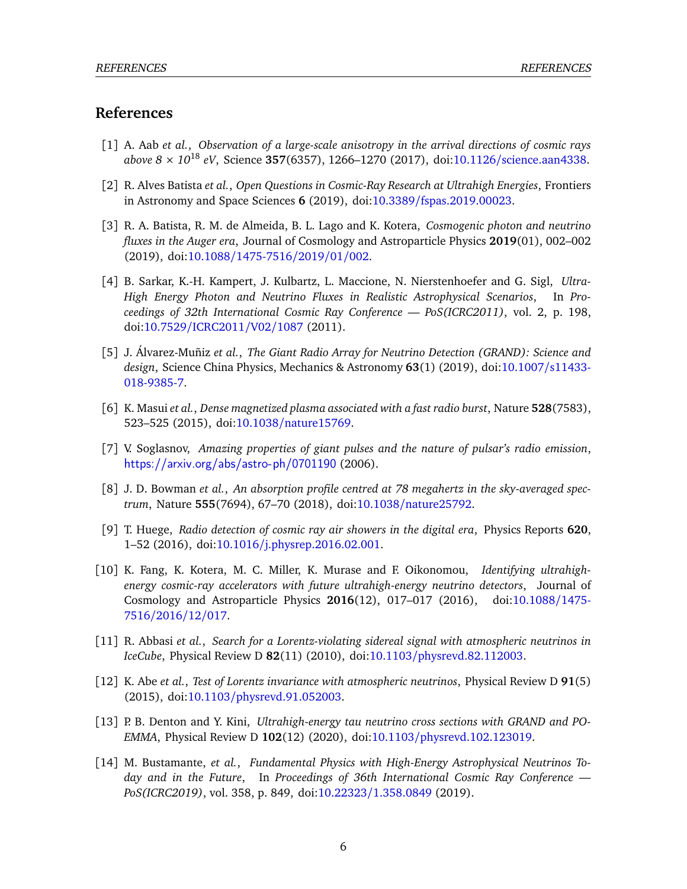## **References**

- <span id="page-5-0"></span>[1] A. Aab *et al.*, *Observation of a large-scale anisotropy in the arrival directions of cosmic rays above 8* × *10*<sup>18</sup> *eV*, Science **357**(6357), 1266–1270 (2017), doi:10.1126/[science.aan4338.](https://doi.org/10.1126/science.aan4338)
- <span id="page-5-1"></span>[2] R. Alves Batista *et al.*, *Open Questions in Cosmic-Ray Research at Ultrahigh Energies*, Frontiers in Astronomy and Space Sciences **6** (2019), doi:10.3389/[fspas.2019.00023.](https://doi.org/10.3389/fspas.2019.00023)
- <span id="page-5-2"></span>[3] R. A. Batista, R. M. de Almeida, B. L. Lago and K. Kotera, *Cosmogenic photon and neutrino fluxes in the Auger era*, Journal of Cosmology and Astroparticle Physics **2019**(01), 002–002 (2019), doi:10.1088/[1475-7516](https://doi.org/10.1088/1475-7516/2019/01/002)/2019/01/002.
- <span id="page-5-3"></span>[4] B. Sarkar, K.-H. Kampert, J. Kulbartz, L. Maccione, N. Nierstenhoefer and G. Sigl, *Ultra-High Energy Photon and Neutrino Fluxes in Realistic Astrophysical Scenarios*, In *Proceedings of 32th International Cosmic Ray Conference — PoS(ICRC2011)*, vol. 2, p. 198, doi:10.7529/[ICRC2011](https://doi.org/10.7529/ICRC2011/V02/1087)/V02/1087 (2011).
- <span id="page-5-4"></span>[5] J. Álvarez-Muñiz *et al.*, *The Giant Radio Array for Neutrino Detection (GRAND): Science and design*, Science China Physics, Mechanics & Astronomy **63**(1) (2019), doi[:10.1007](https://doi.org/10.1007/s11433-018-9385-7)/s11433- [018-9385-7.](https://doi.org/10.1007/s11433-018-9385-7)
- <span id="page-5-5"></span>[6] K. Masui *et al.*, *Dense magnetized plasma associated with a fast radio burst*, Nature **528**(7583), 523–525 (2015), doi:10.1038/[nature15769.](https://doi.org/10.1038/nature15769)
- <span id="page-5-6"></span>[7] V. Soglasnov, *Amazing properties of giant pulses and the nature of pulsar's radio emission*, <https://arxiv.org/abs/astro-ph/0701190> (2006).
- <span id="page-5-7"></span>[8] J. D. Bowman *et al.*, *An absorption profile centred at 78 megahertz in the sky-averaged spectrum*, Nature **555**(7694), 67–70 (2018), doi:10.1038/[nature25792.](https://doi.org/10.1038/nature25792)
- <span id="page-5-8"></span>[9] T. Huege, *Radio detection of cosmic ray air showers in the digital era*, Physics Reports **620**, 1–52 (2016), doi:10.1016/[j.physrep.2016.02.001.](https://doi.org/10.1016/j.physrep.2016.02.001)
- <span id="page-5-9"></span>[10] K. Fang, K. Kotera, M. C. Miller, K. Murase and F. Oikonomou, *Identifying ultrahighenergy cosmic-ray accelerators with future ultrahigh-energy neutrino detectors*, Journal of Cosmology and Astroparticle Physics **2016**(12), 017–017 (2016), doi[:10.1088](https://doi.org/10.1088/1475-7516/2016/12/017)/1475- [7516](https://doi.org/10.1088/1475-7516/2016/12/017)/2016/12/017.
- <span id="page-5-10"></span>[11] R. Abbasi *et al.*, *Search for a Lorentz-violating sidereal signal with atmospheric neutrinos in IceCube*, Physical Review D **82**(11) (2010), doi:10.1103/[physrevd.82.112003.](https://doi.org/10.1103/physrevd.82.112003)
- <span id="page-5-11"></span>[12] K. Abe *et al.*, *Test of Lorentz invariance with atmospheric neutrinos*, Physical Review D **91**(5) (2015), doi:10.1103/[physrevd.91.052003.](https://doi.org/10.1103/physrevd.91.052003)
- <span id="page-5-12"></span>[13] P. B. Denton and Y. Kini, *Ultrahigh-energy tau neutrino cross sections with GRAND and PO-EMMA*, Physical Review D **102**(12) (2020), doi:10.1103/[physrevd.102.123019.](https://doi.org/10.1103/physrevd.102.123019)
- <span id="page-5-13"></span>[14] M. Bustamante, *et al.*, *Fundamental Physics with High-Energy Astrophysical Neutrinos Today and in the Future*, In *Proceedings of 36th International Cosmic Ray Conference — PoS(ICRC2019)*, vol. 358, p. 849, doi:10.22323/[1.358.0849](https://doi.org/10.22323/1.358.0849) (2019).